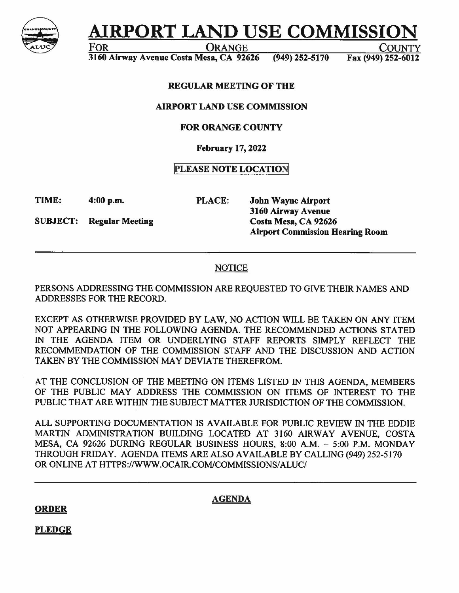

# **AIRPORT LAND USE COMMISSION**

FOR ORANGE COUNTY

3160 Airway Avenue Costa Mesa, CA 92626 (949) 252-5170 Fax (949) 252-6012

# REGULAR MEETING OF THE

#### AIRPORT LAND USE COMMISSION

## FOR ORANGE COUNTY

## **February 17, 2022**

# **PLEASE NOTE LOCATION**

**TIME: 4:00 p.m. PLACE: John Wayne Airport** 

**SUBJECT:** Regular Meeting Costa Mesa, CA 92626

**3160 Airway Avenue Airport Commission Hearing Room** 

# **NOTICE**

PERSONS ADDRESSING THE COMMISSION ARE REQUESTED TO GIVE THEIR NAMES AND ADDRESSES FOR THE RECORD.

EXCEPT AS OTHERWISE PROVIDED BY LAW, NO ACTION WILL BE TAKEN ON ANY ITEM NOT APPEARING IN THE FOLLOWING AGENDA. THE RECOMMENDED ACTIONS STATED IN THE AGENDA ITEM OR UNDERLYING STAFF REPORTS SIMPLY REFLECT THE RECOMMENDATION OF THE COMMISSION STAFF AND THE DISCUSSION AND ACTION TAKEN BY THE COMMISSION MAY DEVIATE THEREFROM.

AT THE CONCLUSION OF THE MEETING ON ITEMS LISTED IN THIS AGENDA, MEMBERS OF THE PUBLIC MAY ADDRESS THE COMMISSION ON ITEMS OF INTEREST TO THE PUBLIC THAT ARE WITHIN THE SUBJECT MA TIER JURISDICTION OF THE COMMISSION.

ALL SUPPORTING DOCUMENTATION IS AVAILABLE FOR PUBLIC REVIEW IN THE EDDIE MARTIN ADMINISTRATION BUILDING LOCATED AT 3160 AIRWAY AVENUE, COSTA MESA, CA 92626 DURING REGULAR BUSINESS HOURS, 8:00 A.M. - 5:00 P.M. MONDAY THROUGH FRIDAY. AGENDA ITEMS ARE ALSO AVAILABLE BY CALLING (949) 252-5170 OR ONLINE AT [HTTPS://WWW.OCAIR.COM/COMMISSIONS/ALUC/](HTTPS://WWW.OCAIR.COM/COMMISSIONS/ALUC)

**ORDER** 

**AGENDA** 

**PLEDGE**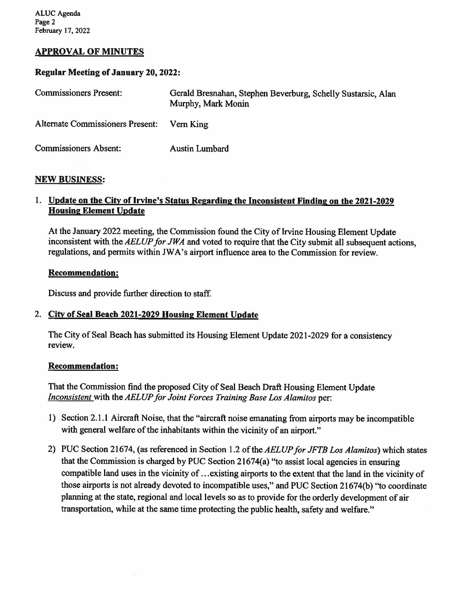# **APPROVAL OF MINUTES**

#### **Regular Meeting of January 20, 2022:**

| <b>Commissioners Present:</b>           | Gerald Bresnahan, Stephen Beverburg, Schelly Sustarsic, Alan<br>Murphy, Mark Monin |
|-----------------------------------------|------------------------------------------------------------------------------------|
| <b>Alternate Commissioners Present:</b> | Vern King                                                                          |
| <b>Commissioners Absent:</b>            | <b>Austin Lumbard</b>                                                              |

#### **NEW BUSINESS:**

## 1. **Update on the City of Irvine's Status Regarding the Inconsistent Finding on the 2021-2029 Housing Element Update**

At the January 2022 meeting, the Commission found the City of Irvine Housing Element Update inconsistent with the *AELUP for JWA* and voted to require that the City submit all subsequent actions, regulations, and permits within JWA's airport influence area to the Commission for review.

#### **Recommendation:**

Discuss and provide further direction to staff.

## 2. **City of Seal Beach 2021-2029 Housing Element Update**

The City of Seal Beach has submitted its Housing Element Update 2021-2029 for a consistency review.

#### **Recommendation:**

That the Commission find the proposed City of Seal Beach Draft Housing Element Update *Inconsistent* with the*AELUPfor Joint Forces Training Base Los Alamitos* per:

- 1) Section 2.1.1 Aircraft Noise, that the "aircraft noise emanating from airports may be incompatible with general welfare of the inhabitants within the vicinity of an airport."
- 2) PUC Section 21674, (as referenced in Section 1.2 *oftheAELUPforJFTB Los Alamitos)* which states that the Commission is charged by PUC Section 21674(a) ''to assist local agencies in ensuring compatible land uses in the vicinity of ...existing airports to the extent that the land in the vicinity of those airports is not already devoted to incompatible uses," and PUC Section 21674(b) ''to coordinate planning at the state, regional and local levels so as to provide for the orderly development of air transportation, while at the same time protecting the public health, safety and welfare."